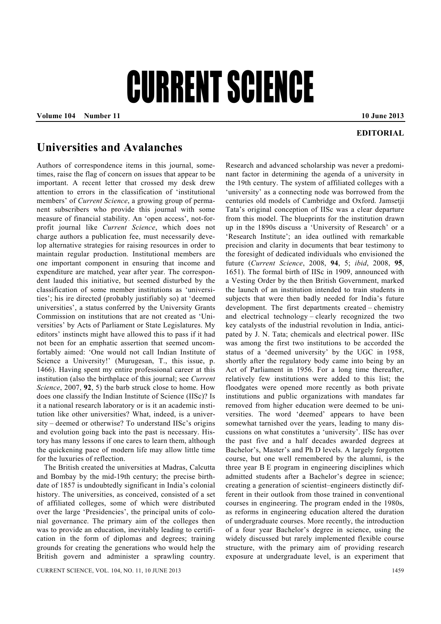## CURRENT SCIENCE

**Volume 104 • Number 11 10 June 2013 10 June 2013** 

## **EDITORIAL**

## **Universities and Avalanches**

Authors of correspondence items in this journal, sometimes, raise the flag of concern on issues that appear to be important. A recent letter that crossed my desk drew attention to errors in the classification of 'institutional members' of *Current Science*, a growing group of permanent subscribers who provide this journal with some measure of financial stability. An 'open access', not-forprofit journal like *Current Science*, which does not charge authors a publication fee, must necessarily develop alternative strategies for raising resources in order to maintain regular production. Institutional members are one important component in ensuring that income and expenditure are matched, year after year. The correspondent lauded this initiative, but seemed disturbed by the classification of some member institutions as 'universities'; his ire directed (probably justifiably so) at 'deemed universities', a status conferred by the University Grants Commission on institutions that are not created as 'Universities' by Acts of Parliament or State Legislatures. My editors' instincts might have allowed this to pass if it had not been for an emphatic assertion that seemed uncomfortably aimed: 'One would not call Indian Institute of Science a University!' (Murugesan, T., this issue, p. 1466). Having spent my entire professional career at this institution (also the birthplace of this journal; see *Current Science*, 2007, **92**, 5) the barb struck close to home. How does one classify the Indian Institute of Science (IISc)? Is it a national research laboratory or is it an academic institution like other universities? What, indeed, is a university – deemed or otherwise? To understand IISc's origins and evolution going back into the past is necessary. History has many lessons if one cares to learn them, although the quickening pace of modern life may allow little time for the luxuries of reflection.

 The British created the universities at Madras, Calcutta and Bombay by the mid-19th century; the precise birthdate of 1857 is undoubtedly significant in India's colonial history. The universities, as conceived, consisted of a set of affiliated colleges, some of which were distributed over the large 'Presidencies', the principal units of colonial governance. The primary aim of the colleges then was to provide an education, inevitably leading to certification in the form of diplomas and degrees; training grounds for creating the generations who would help the British govern and administer a sprawling country. Research and advanced scholarship was never a predominant factor in determining the agenda of a university in the 19th century. The system of affiliated colleges with a 'university' as a connecting node was borrowed from the centuries old models of Cambridge and Oxford. Jamsetji Tata's original conception of IISc was a clear departure from this model. The blueprints for the institution drawn up in the 1890s discuss a 'University of Research' or a 'Research Institute'; an idea outlined with remarkable precision and clarity in documents that bear testimony to the foresight of dedicated individuals who envisioned the future (*Current Science*, 2008, **94**, 5; *ibid*, 2008, **95**, 1651). The formal birth of IISc in 1909, announced with a Vesting Order by the then British Government, marked the launch of an institution intended to train students in subjects that were then badly needed for India's future development. The first departments created – chemistry and electrical technology – clearly recognized the two key catalysts of the industrial revolution in India, anticipated by J. N. Tata; chemicals and electrical power. IISc was among the first two institutions to be accorded the status of a 'deemed university' by the UGC in 1958, shortly after the regulatory body came into being by an Act of Parliament in 1956. For a long time thereafter, relatively few institutions were added to this list; the floodgates were opened more recently as both private institutions and public organizations with mandates far removed from higher education were deemed to be universities. The word 'deemed' appears to have been somewhat tarnished over the years, leading to many discussions on what constitutes a 'university'. IISc has over the past five and a half decades awarded degrees at Bachelor's, Master's and Ph D levels. A largely forgotten course, but one well remembered by the alumni, is the three year B E program in engineering disciplines which admitted students after a Bachelor's degree in science; creating a generation of scientist–engineers distinctly different in their outlook from those trained in conventional courses in engineering. The program ended in the 1980s, as reforms in engineering education altered the duration of undergraduate courses. More recently, the introduction of a four year Bachelor's degree in science, using the widely discussed but rarely implemented flexible course structure, with the primary aim of providing research exposure at undergraduate level, is an experiment that